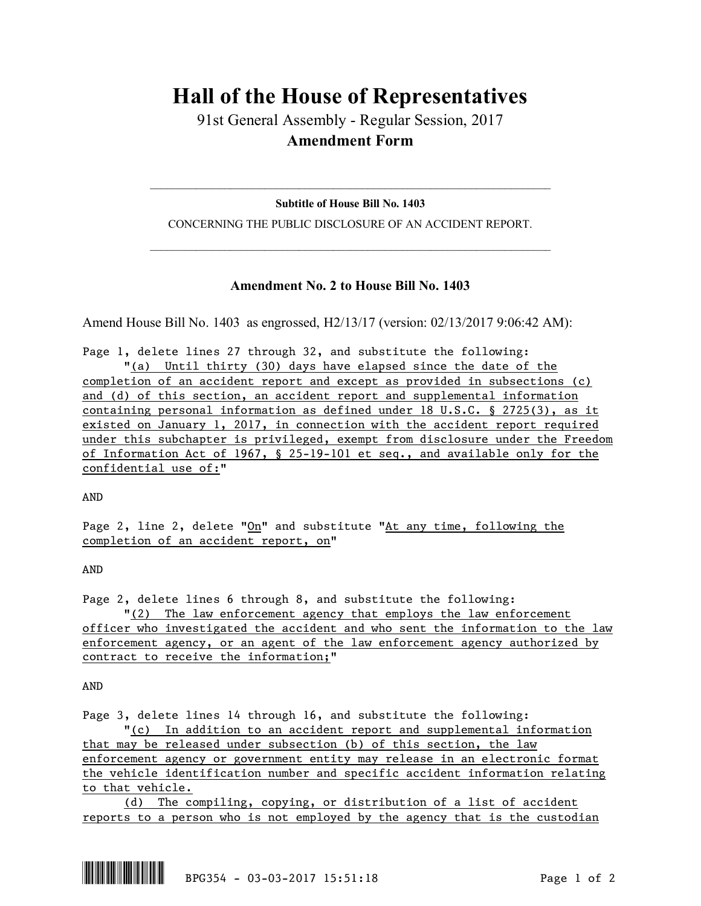# **Hall of the House of Representatives**

91st General Assembly - Regular Session, 2017 **Amendment Form**

 $\mathcal{L}_\text{max}$  and  $\mathcal{L}_\text{max}$  and  $\mathcal{L}_\text{max}$  and  $\mathcal{L}_\text{max}$  and  $\mathcal{L}_\text{max}$  and  $\mathcal{L}_\text{max}$ **Subtitle of House Bill No. 1403**

CONCERNING THE PUBLIC DISCLOSURE OF AN ACCIDENT REPORT.  $\mathcal{L}_\text{max}$  and  $\mathcal{L}_\text{max}$  and  $\mathcal{L}_\text{max}$  and  $\mathcal{L}_\text{max}$  and  $\mathcal{L}_\text{max}$  and  $\mathcal{L}_\text{max}$ 

## **Amendment No. 2 to House Bill No. 1403**

Amend House Bill No. 1403 as engrossed, H2/13/17 (version: 02/13/2017 9:06:42 AM):

Page 1, delete lines 27 through 32, and substitute the following: "(a) Until thirty (30) days have elapsed since the date of the completion of an accident report and except as provided in subsections (c) and (d) of this section, an accident report and supplemental information containing personal information as defined under 18 U.S.C. § 2725(3), as it existed on January 1, 2017, in connection with the accident report required under this subchapter is privileged, exempt from disclosure under the Freedom of Information Act of 1967, § 25-19-101 et seq., and available only for the confidential use of:"

AND

Page 2, line 2, delete " $On$ " and substitute "At any time, following the completion of an accident report, on"

AND

Page 2, delete lines 6 through 8, and substitute the following:

"(2) The law enforcement agency that employs the law enforcement officer who investigated the accident and who sent the information to the law enforcement agency, or an agent of the law enforcement agency authorized by contract to receive the information;"

AND

Page 3, delete lines 14 through 16, and substitute the following:

"(c) In addition to an accident report and supplemental information that may be released under subsection (b) of this section, the law enforcement agency or government entity may release in an electronic format the vehicle identification number and specific accident information relating to that vehicle.

(d) The compiling, copying, or distribution of a list of accident reports to a person who is not employed by the agency that is the custodian